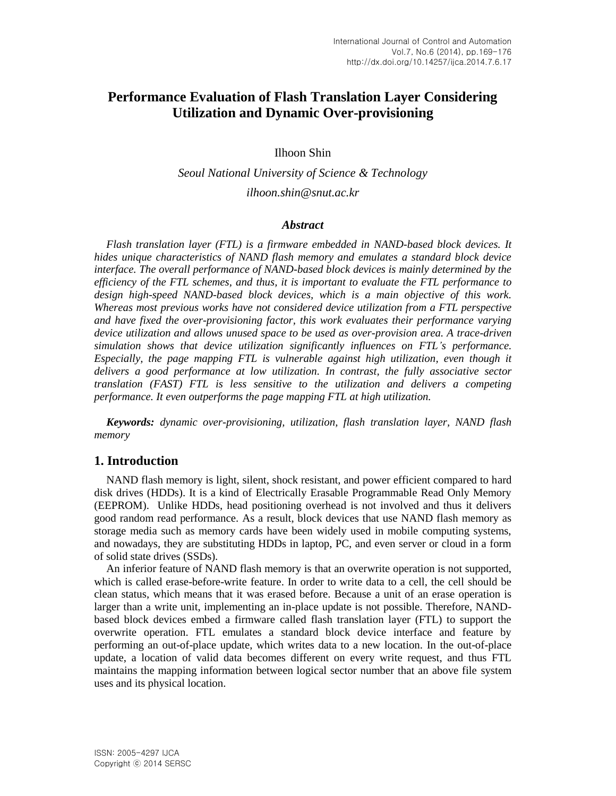## **Performance Evaluation of Flash Translation Layer Considering Utilization and Dynamic Over-provisioning**

Ilhoon Shin

# *Seoul National University of Science & Technology ilhoon.shin@snut.ac.kr*

#### *Abstract*

*Flash translation layer (FTL) is a firmware embedded in NAND-based block devices. It hides unique characteristics of NAND flash memory and emulates a standard block device interface. The overall performance of NAND-based block devices is mainly determined by the efficiency of the FTL schemes, and thus, it is important to evaluate the FTL performance to design high-speed NAND-based block devices, which is a main objective of this work. Whereas most previous works have not considered device utilization from a FTL perspective and have fixed the over-provisioning factor, this work evaluates their performance varying device utilization and allows unused space to be used as over-provision area. A trace-driven simulation shows that device utilization significantly influences on FTL's performance. Especially, the page mapping FTL is vulnerable against high utilization, even though it delivers a good performance at low utilization. In contrast, the fully associative sector translation (FAST) FTL is less sensitive to the utilization and delivers a competing performance. It even outperforms the page mapping FTL at high utilization.*

*Keywords: dynamic over-provisioning, utilization, flash translation layer, NAND flash memory*

## **1. Introduction**

NAND flash memory is light, silent, shock resistant, and power efficient compared to hard disk drives (HDDs). It is a kind of Electrically Erasable Programmable Read Only Memory (EEPROM). Unlike HDDs, head positioning overhead is not involved and thus it delivers good random read performance. As a result, block devices that use NAND flash memory as storage media such as memory cards have been widely used in mobile computing systems, and nowadays, they are substituting HDDs in laptop, PC, and even server or cloud in a form of solid state drives (SSDs).

An inferior feature of NAND flash memory is that an overwrite operation is not supported, which is called erase-before-write feature. In order to write data to a cell, the cell should be clean status, which means that it was erased before. Because a unit of an erase operation is larger than a write unit, implementing an in-place update is not possible. Therefore, NANDbased block devices embed a firmware called flash translation layer (FTL) to support the overwrite operation. FTL emulates a standard block device interface and feature by performing an out-of-place update, which writes data to a new location. In the out-of-place update, a location of valid data becomes different on every write request, and thus FTL maintains the mapping information between logical sector number that an above file system uses and its physical location.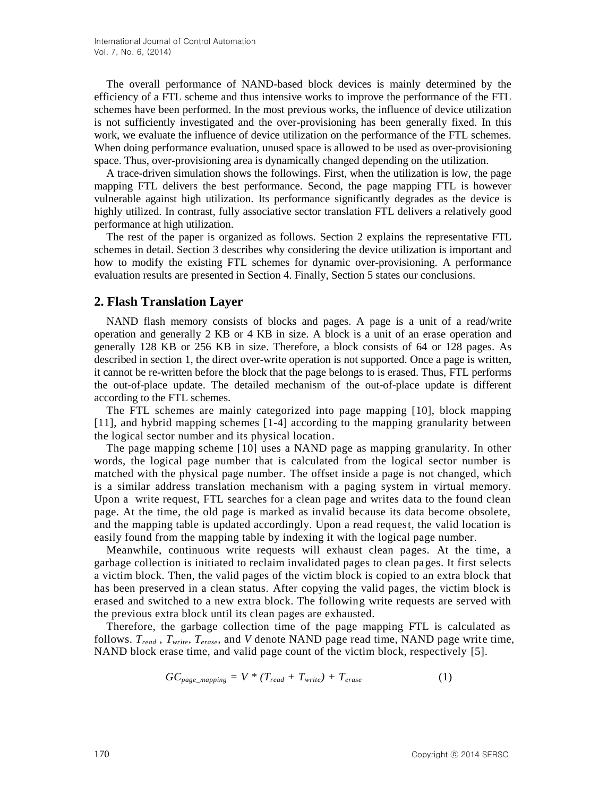The overall performance of NAND-based block devices is mainly determined by the efficiency of a FTL scheme and thus intensive works to improve the performance of the FTL schemes have been performed. In the most previous works, the influence of device utilization is not sufficiently investigated and the over-provisioning has been generally fixed. In this work, we evaluate the influence of device utilization on the performance of the FTL schemes. When doing performance evaluation, unused space is allowed to be used as over-provisioning space. Thus, over-provisioning area is dynamically changed depending on the utilization.

A trace-driven simulation shows the followings. First, when the utilization is low, the page mapping FTL delivers the best performance. Second, the page mapping FTL is however vulnerable against high utilization. Its performance significantly degrades as the device is highly utilized. In contrast, fully associative sector translation FTL delivers a relatively good performance at high utilization.

The rest of the paper is organized as follows. Section 2 explains the representative FTL schemes in detail. Section 3 describes why considering the device utilization is important and how to modify the existing FTL schemes for dynamic over-provisioning. A performance evaluation results are presented in Section 4. Finally, Section 5 states our conclusions.

### **2. Flash Translation Layer**

NAND flash memory consists of blocks and pages. A page is a unit of a read/write operation and generally 2 KB or 4 KB in size. A block is a unit of an erase operation and generally 128 KB or 256 KB in size. Therefore, a block consists of 64 or 128 pages. As described in section 1, the direct over-write operation is not supported. Once a page is written, it cannot be re-written before the block that the page belongs to is erased. Thus, FTL performs the out-of-place update. The detailed mechanism of the out-of-place update is different according to the FTL schemes.

The FTL schemes are mainly categorized into page mapping [10], block mapping [11], and hybrid mapping schemes [1-4] according to the mapping granularity between the logical sector number and its physical location.

The page mapping scheme [10] uses a NAND page as mapping granularity. In other words, the logical page number that is calculated from the logical sector number is matched with the physical page number. The offset inside a page is not changed, which is a similar address translation mechanism with a paging system in virtual memory. Upon a write request, FTL searches for a clean page and writes data to the found clean page. At the time, the old page is marked as invalid because its data become obsolete, and the mapping table is updated accordingly. Upon a read request, the valid location is easily found from the mapping table by indexing it with the logical page number.

Meanwhile, continuous write requests will exhaust clean pages. At the time, a garbage collection is initiated to reclaim invalidated pages to clean pages. It first selects a victim block. Then, the valid pages of the victim block is copied to an extra block that has been preserved in a clean status. After copying the valid pages, the victim block is erased and switched to a new extra block. The following write requests are served with the previous extra block until its clean pages are exhausted.

Therefore, the garbage collection time of the page mapping FTL is calculated as follows. *Tread , Twrite, Terase,* and *V* denote NAND page read time, NAND page write time, NAND block erase time, and valid page count of the victim block, respectively [5].

$$
GC_{page\_mapping} = V * (T_{read} + T_{write}) + T_{erase}
$$
 (1)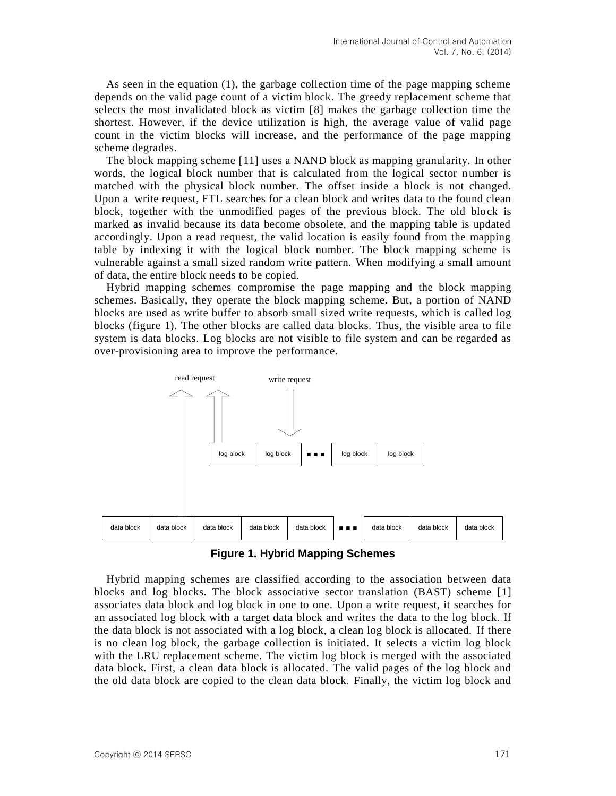As seen in the equation (1), the garbage collection time of the page mapping scheme depends on the valid page count of a victim block. The greedy replacement scheme that selects the most invalidated block as victim [8] makes the garbage collection time the shortest. However, if the device utilization is high, the average value of valid page count in the victim blocks will increase, and the performance of the page mapping scheme degrades.

The block mapping scheme [11] uses a NAND block as mapping granularity. In other words, the logical block number that is calculated from the logical sector number is matched with the physical block number. The offset inside a block is not changed. Upon a write request, FTL searches for a clean block and writes data to the found clean block, together with the unmodified pages of the previous block. The old block is marked as invalid because its data become obsolete, and the mapping table is updated accordingly. Upon a read request, the valid location is easily found from the mapping table by indexing it with the logical block number. The block mapping scheme is vulnerable against a small sized random write pattern. When modifying a small amount of data, the entire block needs to be copied.

Hybrid mapping schemes compromise the page mapping and the block mapping schemes. Basically, they operate the block mapping scheme. But, a portion of NAND blocks are used as write buffer to absorb small sized write requests, which is called log blocks (figure 1). The other blocks are called data blocks. Thus, the visible area to file system is data blocks. Log blocks are not visible to file system and can be regarded as over-provisioning area to improve the performance.





Hybrid mapping schemes are classified according to the association between data blocks and log blocks. The block associative sector translation (BAST) scheme [1] associates data block and log block in one to one. Upon a write request, it searches for an associated log block with a target data block and writes the data to the log block. If the data block is not associated with a log block, a clean log block is allocated. If there is no clean log block, the garbage collection is initiated. It selects a victim log block with the LRU replacement scheme. The victim log block is merged with the associated data block. First, a clean data block is allocated. The valid pages of the log block and the old data block are copied to the clean data block. Finally, the victim log block and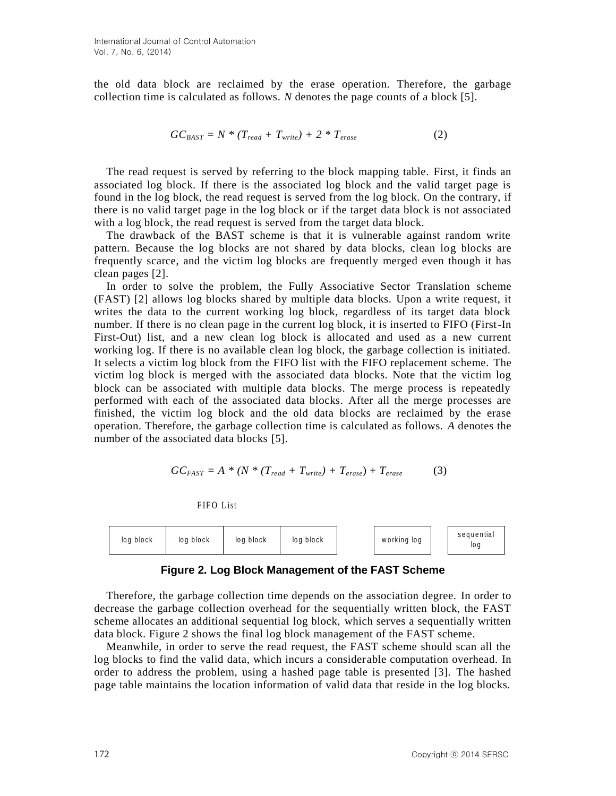the old data block are reclaimed by the erase operation. Therefore, the garbage collection time is calculated as follows. *N* denotes the page counts of a block [5].

$$
GC_{BAST} = N * (T_{read} + T_{write}) + 2 * T_{erase}
$$
 (2)

The read request is served by referring to the block mapping table. First, it finds an associated log block. If there is the associated log block and the valid target page is found in the log block, the read request is served from the log block. On the contrary, if there is no valid target page in the log block or if the target data block is not associated with a log block, the read request is served from the target data block.

The drawback of the BAST scheme is that it is vulnerable against random write pattern. Because the log blocks are not shared by data blocks, clean log blocks are frequently scarce, and the victim log blocks are frequently merged even though it has clean pages [2].

In order to solve the problem, the Fully Associative Sector Translation scheme (FAST) [2] allows log blocks shared by multiple data blocks. Upon a write request, it writes the data to the current working log block, regardless of its target data block number. If there is no clean page in the current log block, it is inserted to FIFO (First-In First-Out) list, and a new clean log block is allocated and used as a new current working log. If there is no available clean log block, the garbage collection is initiated. It selects a victim log block from the FIFO list with the FIFO replacement scheme. The victim log block is merged with the associated data blocks. Note that the victim log block can be associated with multiple data blocks. The merge process is repeatedly performed with each of the associated data blocks. After all the merge processes are finished, the victim log block and the old data blocks are reclaimed by the erase operation. Therefore, the garbage collection time is calculated as follows. *A* denotes the number of the associated data blocks [5].

$$
GC_{FAST} = A * (N * (T_{read} + T_{write}) + T_{erase}) + T_{erase}
$$
 (3)

FIFO List

| sequential<br>log block<br>log block<br>working log<br>log block<br>log block<br>lo q |  |  |  |  |
|---------------------------------------------------------------------------------------|--|--|--|--|
|                                                                                       |  |  |  |  |

#### **Figure 2. Log Block Management of the FAST Scheme**

Therefore, the garbage collection time depends on the association degree. In order to decrease the garbage collection overhead for the sequentially written block, the FAST scheme allocates an additional sequential log block, which serves a sequentially written data block. Figure 2 shows the final log block management of the FAST scheme.

Meanwhile, in order to serve the read request, the FAST scheme should scan all the log blocks to find the valid data, which incurs a considerable computation overhead. In order to address the problem, using a hashed page table is presented [3]. The hashed page table maintains the location information of valid data that reside in the log blocks.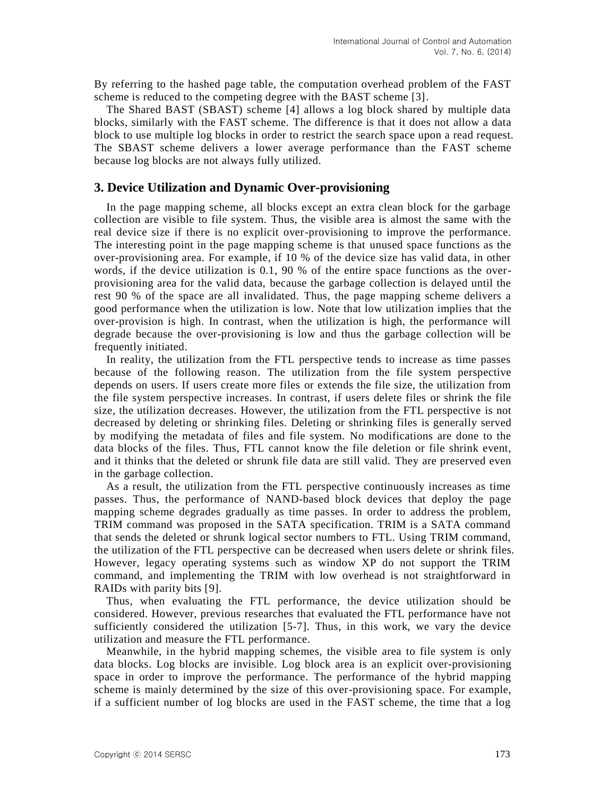By referring to the hashed page table, the computation overhead problem of the FAST scheme is reduced to the competing degree with the BAST scheme [3].

The Shared BAST (SBAST) scheme [4] allows a log block shared by multiple data blocks, similarly with the FAST scheme. The difference is that it does not allow a data block to use multiple log blocks in order to restrict the search space upon a read request. The SBAST scheme delivers a lower average performance than the FAST scheme because log blocks are not always fully utilized.

#### **3. Device Utilization and Dynamic Over-provisioning**

In the page mapping scheme, all blocks except an extra clean block for the garbage collection are visible to file system. Thus, the visible area is almost the same with the real device size if there is no explicit over-provisioning to improve the performance. The interesting point in the page mapping scheme is that unused space functions as the over-provisioning area. For example, if 10 % of the device size has valid data, in other words, if the device utilization is 0.1, 90 % of the entire space functions as the overprovisioning area for the valid data, because the garbage collection is delayed until the rest 90 % of the space are all invalidated. Thus, the page mapping scheme delivers a good performance when the utilization is low. Note that low utilization implies that the over-provision is high. In contrast, when the utilization is high, the performance will degrade because the over-provisioning is low and thus the garbage collection will be frequently initiated.

In reality, the utilization from the FTL perspective tends to increase as time passes because of the following reason. The utilization from the file system perspective depends on users. If users create more files or extends the file size, the utilization from the file system perspective increases. In contrast, if users delete files or shrink the file size, the utilization decreases. However, the utilization from the FTL perspective is not decreased by deleting or shrinking files. Deleting or shrinking files is generally served by modifying the metadata of files and file system. No modifications are done to the data blocks of the files. Thus, FTL cannot know the file deletion or file shrink event, and it thinks that the deleted or shrunk file data are still valid. They are preserved even in the garbage collection.

As a result, the utilization from the FTL perspective continuously increases as time passes. Thus, the performance of NAND-based block devices that deploy the page mapping scheme degrades gradually as time passes. In order to address the problem, TRIM command was proposed in the SATA specification. TRIM is a SATA command that sends the deleted or shrunk logical sector numbers to FTL. Using TRIM command, the utilization of the FTL perspective can be decreased when users delete or shrink files. However, legacy operating systems such as window XP do not support the TRIM command, and implementing the TRIM with low overhead is not straightforward in RAIDs with parity bits [9].

Thus, when evaluating the FTL performance, the device utilization should be considered. However, previous researches that evaluated the FTL performance have not sufficiently considered the utilization [5-7]. Thus, in this work, we vary the device utilization and measure the FTL performance.

Meanwhile, in the hybrid mapping schemes, the visible area to file system is only data blocks. Log blocks are invisible. Log block area is an explicit over-provisioning space in order to improve the performance. The performance of the hybrid mapping scheme is mainly determined by the size of this over-provisioning space. For example, if a sufficient number of log blocks are used in the FAST scheme, the time that a log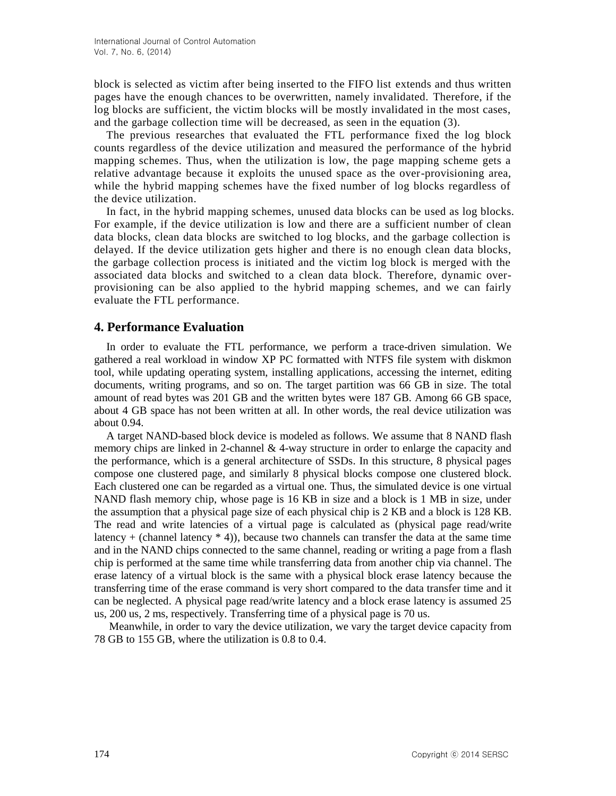block is selected as victim after being inserted to the FIFO list extends and thus written pages have the enough chances to be overwritten, namely invalidated. Therefore, if the log blocks are sufficient, the victim blocks will be mostly invalidated in the most cases, and the garbage collection time will be decreased, as seen in the equation (3).

The previous researches that evaluated the FTL performance fixed the log block counts regardless of the device utilization and measured the performance of the hybrid mapping schemes. Thus, when the utilization is low, the page mapping scheme gets a relative advantage because it exploits the unused space as the over-provisioning area, while the hybrid mapping schemes have the fixed number of log blocks regardless of the device utilization.

In fact, in the hybrid mapping schemes, unused data blocks can be used as log blocks. For example, if the device utilization is low and there are a sufficient number of clean data blocks, clean data blocks are switched to log blocks, and the garbage collection is delayed. If the device utilization gets higher and there is no enough clean data blocks, the garbage collection process is initiated and the victim log block is merged with the associated data blocks and switched to a clean data block. Therefore, dynamic overprovisioning can be also applied to the hybrid mapping schemes, and we can fairly evaluate the FTL performance.

## **4. Performance Evaluation**

In order to evaluate the FTL performance, we perform a trace-driven simulation. We gathered a real workload in window XP PC formatted with NTFS file system with diskmon tool, while updating operating system, installing applications, accessing the internet, editing documents, writing programs, and so on. The target partition was 66 GB in size. The total amount of read bytes was 201 GB and the written bytes were 187 GB. Among 66 GB space, about 4 GB space has not been written at all. In other words, the real device utilization was about 0.94.

A target NAND-based block device is modeled as follows. We assume that 8 NAND flash memory chips are linked in 2-channel & 4-way structure in order to enlarge the capacity and the performance, which is a general architecture of SSDs. In this structure, 8 physical pages compose one clustered page, and similarly 8 physical blocks compose one clustered block. Each clustered one can be regarded as a virtual one. Thus, the simulated device is one virtual NAND flash memory chip, whose page is 16 KB in size and a block is 1 MB in size, under the assumption that a physical page size of each physical chip is 2 KB and a block is 128 KB. The read and write latencies of a virtual page is calculated as (physical page read/write latency + (channel latency  $*$  4)), because two channels can transfer the data at the same time and in the NAND chips connected to the same channel, reading or writing a page from a flash chip is performed at the same time while transferring data from another chip via channel. The erase latency of a virtual block is the same with a physical block erase latency because the transferring time of the erase command is very short compared to the data transfer time and it can be neglected. A physical page read/write latency and a block erase latency is assumed 25 us, 200 us, 2 ms, respectively. Transferring time of a physical page is 70 us.

Meanwhile, in order to vary the device utilization, we vary the target device capacity from 78 GB to 155 GB, where the utilization is 0.8 to 0.4.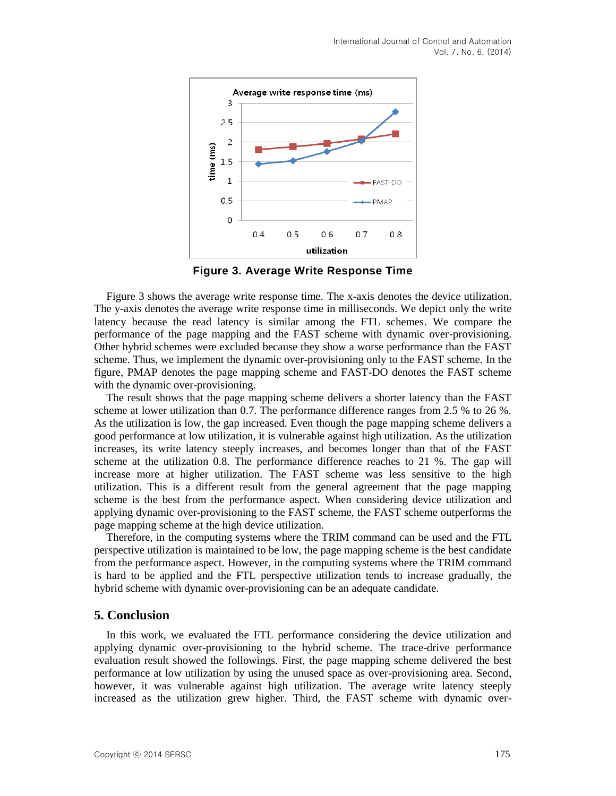

**Figure 3. Average Write Response Time**

Figure 3 shows the average write response time. The x-axis denotes the device utilization. The y-axis denotes the average write response time in milliseconds. We depict only the write latency because the read latency is similar among the FTL schemes. We compare the performance of the page mapping and the FAST scheme with dynamic over-provisioning. Other hybrid schemes were excluded because they show a worse performance than the FAST scheme. Thus, we implement the dynamic over-provisioning only to the FAST scheme. In the figure, PMAP denotes the page mapping scheme and FAST-DO denotes the FAST scheme with the dynamic over-provisioning.

The result shows that the page mapping scheme delivers a shorter latency than the FAST scheme at lower utilization than 0.7. The performance difference ranges from 2.5 % to 26 %. As the utilization is low, the gap increased. Even though the page mapping scheme delivers a good performance at low utilization, it is vulnerable against high utilization. As the utilization increases, its write latency steeply increases, and becomes longer than that of the FAST scheme at the utilization 0.8. The performance difference reaches to 21 %. The gap will increase more at higher utilization. The FAST scheme was less sensitive to the high utilization. This is a different result from the general agreement that the page mapping scheme is the best from the performance aspect. When considering device utilization and applying dynamic over-provisioning to the FAST scheme, the FAST scheme outperforms the page mapping scheme at the high device utilization.

Therefore, in the computing systems where the TRIM command can be used and the FTL perspective utilization is maintained to be low, the page mapping scheme is the best candidate from the performance aspect. However, in the computing systems where the TRIM command is hard to be applied and the FTL perspective utilization tends to increase gradually, the hybrid scheme with dynamic over-provisioning can be an adequate candidate.

#### **5. Conclusion**

In this work, we evaluated the FTL performance considering the device utilization and applying dynamic over-provisioning to the hybrid scheme. The trace-drive performance evaluation result showed the followings. First, the page mapping scheme delivered the best performance at low utilization by using the unused space as over-provisioning area. Second, however, it was vulnerable against high utilization. The average write latency steeply increased as the utilization grew higher. Third, the FAST scheme with dynamic over